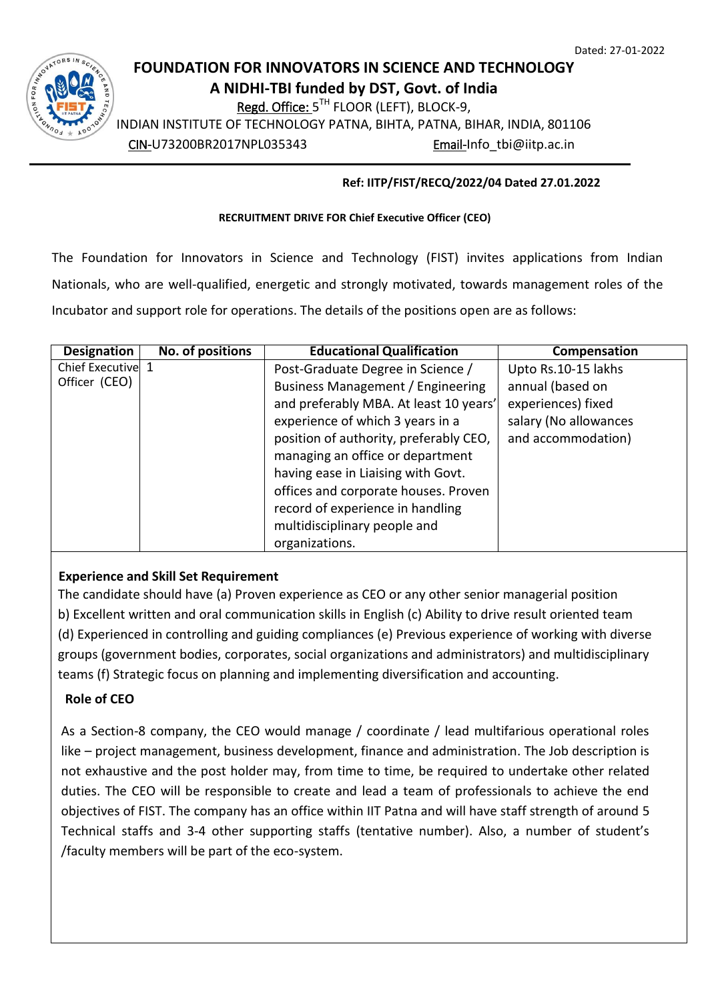1

# **FOUNDATION FOR INNOVATORS IN SCIENCE AND TECHNOLOGY**

**A NIDHI-TBI funded by DST, Govt. of India**

Regd. Office: 5<sup>TH</sup> FLOOR (LEFT), BLOCK-9,

INDIAN INSTITUTE OF TECHNOLOGY PATNA, BIHTA, PATNA, BIHAR, INDIA, 801106

CIN-U73200BR2017NPL035343 Email-Info\_tbi@iitp.ac.in

## **Ref: IITP/FIST/RECQ/2022/04 Dated 27.01.2022**

#### **RECRUITMENT DRIVE FOR Chief Executive Officer (CEO)**

The Foundation for Innovators in Science and Technology (FIST) invites applications from Indian Nationals, who are well-qualified, energetic and strongly motivated, towards management roles of the Incubator and support role for operations. The details of the positions open are as follows:

| <b>Designation</b> | No. of positions | <b>Educational Qualification</b>         | Compensation          |
|--------------------|------------------|------------------------------------------|-----------------------|
| Chief Executive 1  |                  | Post-Graduate Degree in Science /        | Upto Rs.10-15 lakhs   |
| Officer (CEO)      |                  | <b>Business Management / Engineering</b> | annual (based on      |
|                    |                  | and preferably MBA. At least 10 years'   | experiences) fixed    |
|                    |                  | experience of which 3 years in a         | salary (No allowances |
|                    |                  | position of authority, preferably CEO,   | and accommodation)    |
|                    |                  | managing an office or department         |                       |
|                    |                  | having ease in Liaising with Govt.       |                       |
|                    |                  | offices and corporate houses. Proven     |                       |
|                    |                  | record of experience in handling         |                       |
|                    |                  | multidisciplinary people and             |                       |
|                    |                  | organizations.                           |                       |

## **Experience and Skill Set Requirement**

The candidate should have (a) Proven experience as CEO or any other senior managerial position b) Excellent written and oral communication skills in English (c) Ability to drive result oriented team (d) Experienced in controlling and guiding compliances (e) Previous experience of working with diverse groups (government bodies, corporates, social organizations and administrators) and multidisciplinary teams (f) Strategic focus on planning and implementing diversification and accounting.

# **Role of CEO**

As a Section-8 company, the CEO would manage / coordinate / lead multifarious operational roles like – project management, business development, finance and administration. The Job description is not exhaustive and the post holder may, from time to time, be required to undertake other related duties. The CEO will be responsible to create and lead a team of professionals to achieve the end objectives of FIST. The company has an office within IIT Patna and will have staff strength of around 5 Technical staffs and 3-4 other supporting staffs (tentative number). Also, a number of student's /faculty members will be part of the eco-system.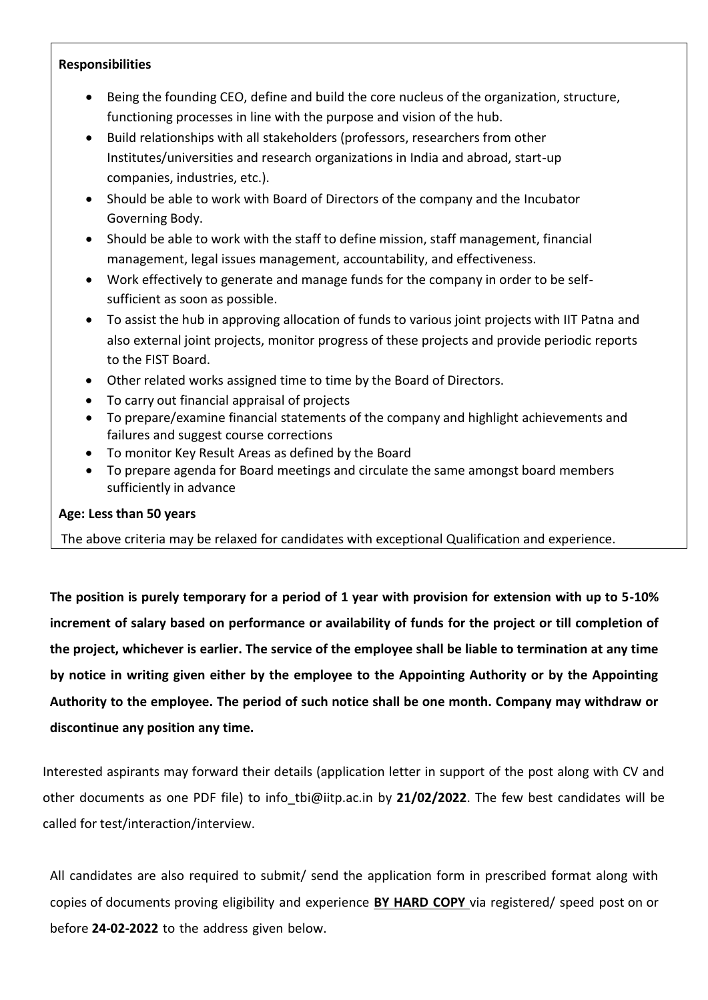## **Responsibilities**

- Being the founding CEO, define and build the core nucleus of the organization, structure, functioning processes in line with the purpose and vision of the hub.
- Build relationships with all stakeholders (professors, researchers from other Institutes/universities and research organizations in India and abroad, start-up companies, industries, etc.).
- Should be able to work with Board of Directors of the company and the Incubator Governing Body.
- Should be able to work with the staff to define mission, staff management, financial management, legal issues management, accountability, and effectiveness.
- Work effectively to generate and manage funds for the company in order to be selfsufficient as soon as possible.
- To assist the hub in approving allocation of funds to various joint projects with IIT Patna and also external joint projects, monitor progress of these projects and provide periodic reports to the FIST Board.
- Other related works assigned time to time by the Board of Directors.
- To carry out financial appraisal of projects
- To prepare/examine financial statements of the company and highlight achievements and failures and suggest course corrections
- To monitor Key Result Areas as defined by the Board
- To prepare agenda for Board meetings and circulate the same amongst board members sufficiently in advance

# **Age: Less than 50 years**

The above criteria may be relaxed for candidates with exceptional Qualification and experience.

**The position is purely temporary for a period of 1 year with provision for extension with up to 5-10% increment of salary based on performance or availability of funds for the project or till completion of the project, whichever is earlier. The service of the employee shall be liable to termination at any time by notice in writing given either by the employee to the Appointing Authority or by the Appointing Authority to the employee. The period of such notice shall be one month. Company may withdraw or discontinue any position any time.**

Interested aspirants may forward their details (application letter in support of the post along with CV and other documents as one PDF file) to info\_tbi@iitp.ac.in by **21/02/2022**. The few best candidates will be called for test/interaction/interview.

All candidates are also required to submit/ send the application form in prescribed format along with copies of documents proving eligibility and experience **BY HARD COPY** via registered/ speed post on or before **24-02-2022** to the address given below.